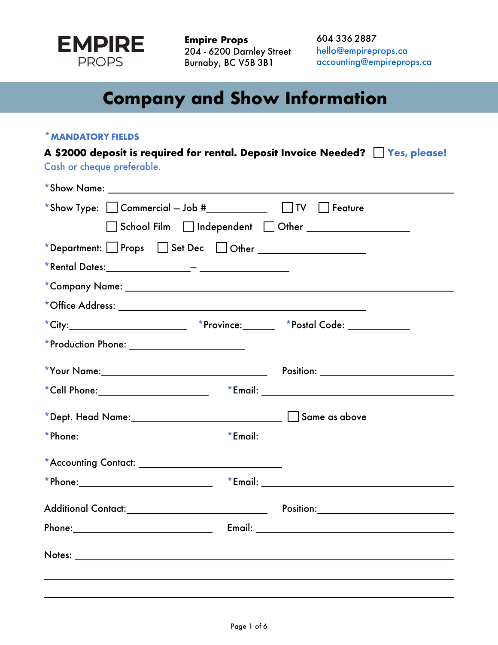

**Empire Props** 204 - 6200 Darnley Street Burnaby, BC V5B 3B1

604 336 2887 hello@empireprops.ca accounting@empireprops.ca

# **Company and Show Information**

# **\*MANDATORY FIELDS**

**A \$2000 deposit is required for rental. Deposit Invoice Needed? Yes, please!** Cash or cheque preferable.

| $\star$ Department: Props $\Box$ Set Dec $\Box$ Other _____________________ |  |  |  |
|-----------------------------------------------------------------------------|--|--|--|
|                                                                             |  |  |  |
|                                                                             |  |  |  |
|                                                                             |  |  |  |
|                                                                             |  |  |  |
| $*$ Production Phone: ____________________________                          |  |  |  |
|                                                                             |  |  |  |
|                                                                             |  |  |  |
|                                                                             |  |  |  |
|                                                                             |  |  |  |
| *Accounting Contact: ________________________________                       |  |  |  |
|                                                                             |  |  |  |
|                                                                             |  |  |  |
|                                                                             |  |  |  |
|                                                                             |  |  |  |
|                                                                             |  |  |  |
|                                                                             |  |  |  |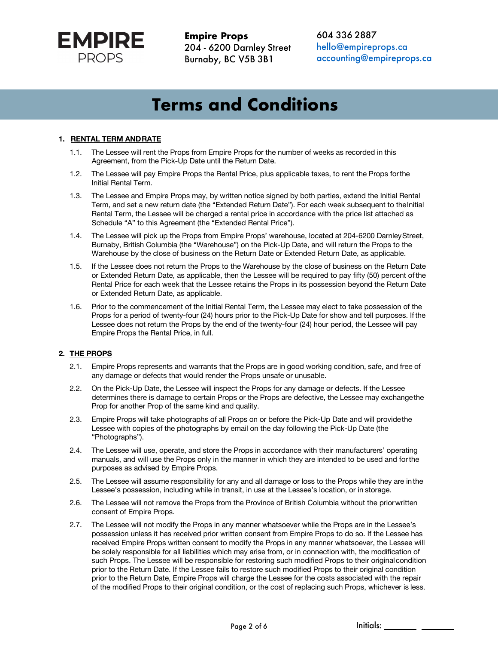

**Empire Props** 204 - 6200 Darnley Street Burnaby, BC V5B 3B1

604 336 2887 hello@empireprops.ca accounting@empireprops.ca

# **Terms and Conditions**

### **1. RENTAL TERM ANDRATE**

- 1.1. The Lessee will rent the Props from Empire Props for the number of weeks as recorded in this Agreement, from the Pick-Up Date until the Return Date.
- 1.2. The Lessee will pay Empire Props the Rental Price, plus applicable taxes, to rent the Props forthe Initial Rental Term.
- 1.3. The Lessee and Empire Props may, by written notice signed by both parties, extend the Initial Rental Term, and set a new return date (the "Extended Return Date"). For each week subsequent to theInitial Rental Term, the Lessee will be charged a rental price in accordance with the price list attached as Schedule "A" to this Agreement (the "Extended Rental Price").
- 1.4. The Lessee will pick up the Props from Empire Props' warehouse, located at 204-6200 DarnleyStreet, Burnaby, British Columbia (the "Warehouse") on the Pick-Up Date, and will return the Props to the Warehouse by the close of business on the Return Date or Extended Return Date, as applicable.
- 1.5. If the Lessee does not return the Props to the Warehouse by the close of business on the Return Date or Extended Return Date, as applicable, then the Lessee will be required to pay fifty (50) percent ofthe Rental Price for each week that the Lessee retains the Props in its possession beyond the Return Date or Extended Return Date, as applicable.
- 1.6. Prior to the commencement of the Initial Rental Term, the Lessee may elect to take possession of the Props for a period of twenty-four (24) hours prior to the Pick-Up Date for show and tell purposes. Ifthe Lessee does not return the Props by the end of the twenty-four (24) hour period, the Lessee will pay Empire Props the Rental Price, in full.

## **2. THE PROPS**

- 2.1. Empire Props represents and warrants that the Props are in good working condition, safe, and free of any damage or defects that would render the Props unsafe or unusable.
- 2.2. On the Pick-Up Date, the Lessee will inspect the Props for any damage or defects. If the Lessee determines there is damage to certain Props or the Props are defective, the Lessee may exchangethe Prop for another Prop of the same kind and quality.
- 2.3. Empire Props will take photographs of all Props on or before the Pick-Up Date and will providethe Lessee with copies of the photographs by email on the day following the Pick-Up Date (the "Photographs").
- 2.4. The Lessee will use, operate, and store the Props in accordance with their manufacturers' operating manuals, and will use the Props only in the manner in which they are intended to be used and forthe purposes as advised by Empire Props.
- 2.5. The Lessee will assume responsibility for any and all damage or loss to the Props while they are inthe Lessee's possession, including while in transit, in use at the Lessee's location, or in storage.
- 2.6. The Lessee will not remove the Props from the Province of British Columbia without the priorwritten consent of Empire Props.
- 2.7. The Lessee will not modify the Props in any manner whatsoever while the Props are in the Lessee's possession unless it has received prior written consent from Empire Props to do so. If the Lessee has received Empire Props written consent to modify the Props in any manner whatsoever, the Lessee will be solely responsible for all liabilities which may arise from, or in connection with, the modification of such Props. The Lessee will be responsible for restoring such modified Props to their originalcondition prior to the Return Date. If the Lessee fails to restore such modified Props to their original condition prior to the Return Date, Empire Props will charge the Lessee for the costs associated with the repair of the modified Props to their original condition, or the cost of replacing such Props, whichever is less.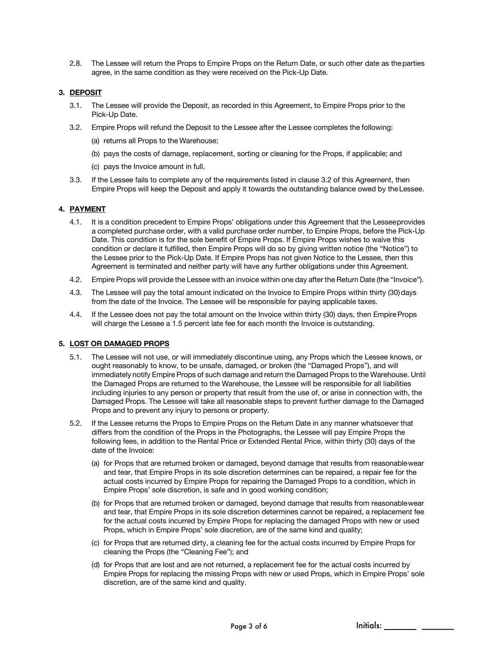2.8. The Lessee will return the Props to Empire Props on the Return Date, or such other date as theparties agree, in the same condition as they were received on the Pick-Up Date.

#### **3. DEPOSIT**

- 3.1. The Lessee will provide the Deposit, as recorded in this Agreement, to Empire Props prior to the Pick-Up Date.
- 3.2. Empire Props will refund the Deposit to the Lessee after the Lessee completes the following:
	- (a) returns all Props to the Warehouse;
	- (b) pays the costs of damage, replacement, sorting or cleaning for the Props, if applicable; and
	- (c) pays the Invoice amount in full.
- 3.3. If the Lessee fails to complete any of the requirements listed in clause 3.2 of this Agreement, then Empire Props will keep the Deposit and apply it towards the outstanding balance owed by theLessee.

#### **4. PAYMENT**

- 4.1. It is a condition precedent to Empire Props' obligations under this Agreement that the Lesseeprovides a completed purchase order, with a valid purchase order number, to Empire Props, before the Pick-Up Date. This condition is for the sole benefit of Empire Props. If Empire Props wishes to waive this condition or declare it fulfilled, then Empire Props will do so by giving written notice (the "Notice") to the Lessee prior to the Pick-Up Date. If Empire Props has not given Notice to the Lessee, then this Agreement is terminated and neither party will have any further obligations under this Agreement.
- 4.2. Empire Props will provide the Lessee with an invoice within one day after the Return Date (the "Invoice").
- 4.3. The Lessee will pay the total amount indicated on the Invoice to Empire Props within thirty (30) days from the date of the Invoice. The Lessee will be responsible for paying applicable taxes.
- 4.4. If the Lessee does not pay the total amount on the Invoice within thirty (30) days, then EmpireProps will charge the Lessee a 1.5 percent late fee for each month the Invoice is outstanding.

#### **5. LOST OR DAMAGED PROPS**

- 5.1. The Lessee will not use, or will immediately discontinue using, any Props which the Lessee knows, or ought reasonably to know, to be unsafe, damaged, or broken (the "Damaged Props"), and will immediately notify Empire Props of such damage and return the Damaged Props to the Warehouse. Until the Damaged Props are returned to the Warehouse, the Lessee will be responsible for all liabilities including injuries to any person or property that result from the use of, or arise in connection with, the Damaged Props. The Lessee will take all reasonable steps to prevent further damage to the Damaged Props and to prevent any injury to persons or property.
- 5.2. If the Lessee returns the Props to Empire Props on the Return Date in any manner whatsoever that differs from the condition of the Props in the Photographs, the Lessee will pay Empire Props the following fees, in addition to the Rental Price or Extended Rental Price, within thirty (30) days of the date of the Invoice:
	- (a) for Props that are returned broken or damaged, beyond damage that results from reasonablewear and tear, that Empire Props in its sole discretion determines can be repaired, a repair fee for the actual costs incurred by Empire Props for repairing the Damaged Props to a condition, which in Empire Props' sole discretion, is safe and in good working condition;
	- (b) for Props that are returned broken or damaged, beyond damage that results from reasonablewear and tear, that Empire Props in its sole discretion determines cannot be repaired, a replacement fee for the actual costs incurred by Empire Props for replacing the damaged Props with new or used Props, which in Empire Props' sole discretion, are of the same kind and quality;
	- (c) for Props that are returned dirty, a cleaning fee for the actual costs incurred by Empire Props for cleaning the Props (the "Cleaning Fee"); and
	- (d) for Props that are lost and are not returned, a replacement fee for the actual costs incurred by Empire Props for replacing the missing Props with new or used Props, which in Empire Props' sole discretion, are of the same kind and quality.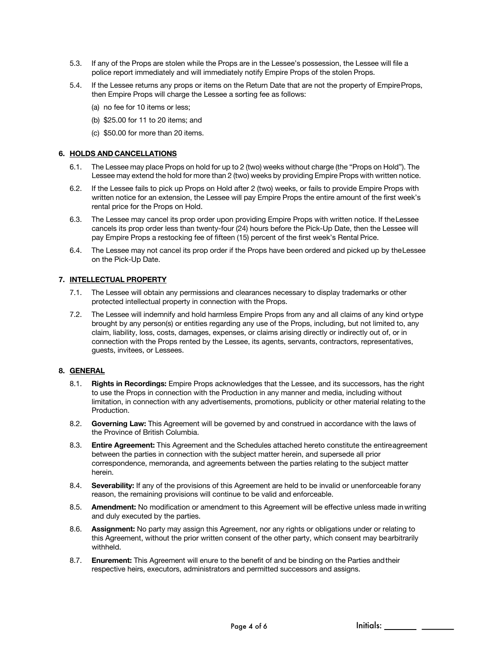- 5.3. If any of the Props are stolen while the Props are in the Lessee's possession, the Lessee will file a police report immediately and will immediately notify Empire Props of the stolen Props.
- 5.4. If the Lessee returns any props or items on the Return Date that are not the property of EmpireProps, then Empire Props will charge the Lessee a sorting fee as follows:
	- (a) no fee for 10 items or less;
	- (b) \$25.00 for 11 to 20 items; and
	- (c) \$50.00 for more than 20 items.

#### **6. HOLDS AND CANCELLATIONS**

- 6.1. The Lessee may place Props on hold for up to 2 (two) weeks without charge (the "Props on Hold"). The Lessee may extend the hold for more than 2 (two) weeks by providing Empire Props with written notice.
- 6.2. If the Lessee fails to pick up Props on Hold after 2 (two) weeks, or fails to provide Empire Props with written notice for an extension, the Lessee will pay Empire Props the entire amount of the first week's rental price for the Props on Hold.
- 6.3. The Lessee may cancel its prop order upon providing Empire Props with written notice. If theLessee cancels its prop order less than twenty-four (24) hours before the Pick-Up Date, then the Lessee will pay Empire Props a restocking fee of fifteen (15) percent of the first week's Rental Price.
- 6.4. The Lessee may not cancel its prop order if the Props have been ordered and picked up by theLessee on the Pick-Up Date.

#### **7. INTELLECTUAL PROPERTY**

- 7.1. The Lessee will obtain any permissions and clearances necessary to display trademarks or other protected intellectual property in connection with the Props.
- 7.2. The Lessee will indemnify and hold harmless Empire Props from any and all claims of any kind ortype brought by any person(s) or entities regarding any use of the Props, including, but not limited to, any claim, liability, loss, costs, damages, expenses, or claims arising directly or indirectly out of, or in connection with the Props rented by the Lessee, its agents, servants, contractors, representatives, guests, invitees, or Lessees.

#### **8. GENERAL**

- 8.1. **Rights in Recordings:** Empire Props acknowledges that the Lessee, and its successors, has the right to use the Props in connection with the Production in any manner and media, including without limitation, in connection with any advertisements, promotions, publicity or other material relating tothe Production.
- 8.2. **Governing Law:** This Agreement will be governed by and construed in accordance with the laws of the Province of British Columbia.
- 8.3. **Entire Agreement:** This Agreement and the Schedules attached hereto constitute the entireagreement between the parties in connection with the subject matter herein, and supersede all prior correspondence, memoranda, and agreements between the parties relating to the subject matter herein.
- 8.4. **Severability:** If any of the provisions of this Agreement are held to be invalid or unenforceable forany reason, the remaining provisions will continue to be valid and enforceable.
- 8.5. **Amendment:** No modification or amendment to this Agreement will be effective unless made inwriting and duly executed by the parties.
- 8.6. **Assignment:** No party may assign this Agreement, nor any rights or obligations under or relating to this Agreement, without the prior written consent of the other party, which consent may bearbitrarily withheld.
- 8.7. **Enurement:** This Agreement will enure to the benefit of and be binding on the Parties andtheir respective heirs, executors, administrators and permitted successors and assigns.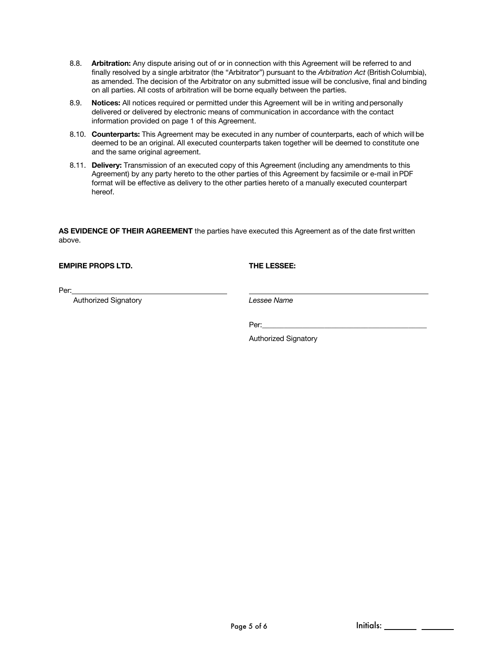- 8.8. **Arbitration:** Any dispute arising out of or in connection with this Agreement will be referred to and finally resolved by a single arbitrator (the "Arbitrator") pursuant to the *Arbitration Act* (British Columbia), as amended. The decision of the Arbitrator on any submitted issue will be conclusive, final and binding on all parties. All costs of arbitration will be borne equally between the parties.
- 8.9. **Notices:** All notices required or permitted under this Agreement will be in writing andpersonally delivered or delivered by electronic means of communication in accordance with the contact information provided on page 1 of this Agreement.
- 8.10. **Counterparts:** This Agreement may be executed in any number of counterparts, each of which will be deemed to be an original. All executed counterparts taken together will be deemed to constitute one and the same original agreement.
- 8.11. **Delivery:** Transmission of an executed copy of this Agreement (including any amendments to this Agreement) by any party hereto to the other parties of this Agreement by facsimile or e-mail inPDF format will be effective as delivery to the other parties hereto of a manually executed counterpart hereof.

**AS EVIDENCE OF THEIR AGREEMENT** the parties have executed this Agreement as of the date first written above.

**EMPIRE PROPS LTD. THE LESSEE:**

Per:

Authorized Signatory *Lessee Name*

Per:\_\_\_\_\_\_\_\_\_\_\_\_\_\_\_\_\_\_\_\_\_\_\_\_\_\_\_\_\_\_\_\_\_\_\_\_\_\_\_\_\_\_\_\_\_

Authorized Signatory